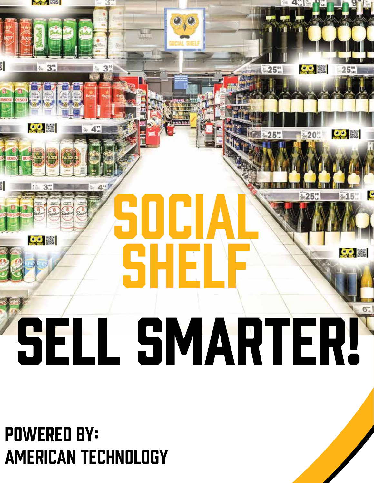## **ROCHER EVOX** es.  $\overline{22}$  $25"$  $\bullet$   $\bullet$  $\mathcal{O}[\mathcal{O}]$ E. S SOCI  $\frac{1}{2}$ Shelf  $\frac{1}{2}$ SELL SMARTER!

#### powered by: American Technology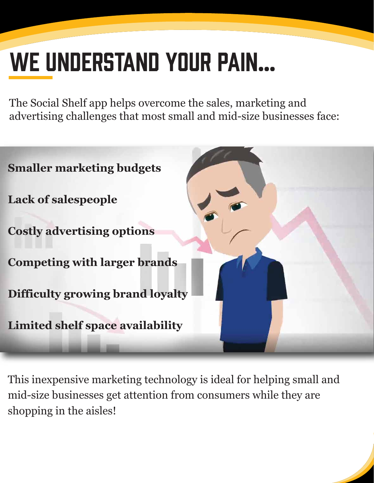## We understand your pain…

The Social Shelf app helps overcome the sales, marketing and advertising challenges that most small and mid-size businesses face:

| <b>Smaller marketing budgets</b>        |
|-----------------------------------------|
| <b>Lack of salespeople</b>              |
| <b>Costly advertising options</b>       |
| <b>Competing with larger brands</b>     |
| Difficulty growing brand loyalty        |
| <b>Limited shelf space availability</b> |

This inexpensive marketing technology is ideal for helping small and mid-size businesses get attention from consumers while they are shopping in the aisles!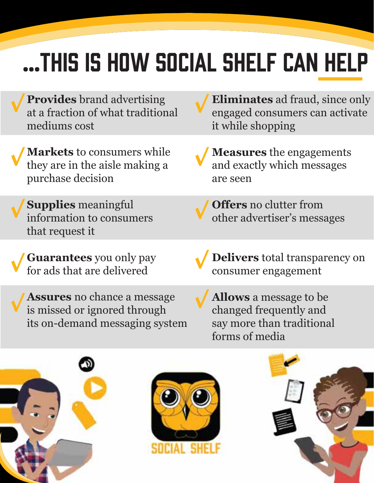## …This is how Social Shelf can help

- **Provides** brand advertising at a fraction of what traditional mediums cost
- **Markets** to consumers while they are in the aisle making a purchase decision
	- **Supplies** meaningful information to consumers that request it
- **Guarantees** you only pay for ads that are delivered
- **Assures** no chance a message is missed or ignored through its on-demand messaging system
- **Eliminates** ad fraud, since only engaged consumers can activate it while shopping
- **Measures** the engagements and exactly which messages are seen
	- **Offers** no clutter from other advertiser's messages
- **Delivers** total transparency on consumer engagement
- **Allows** a message to be changed frequently and say more than traditional forms of media





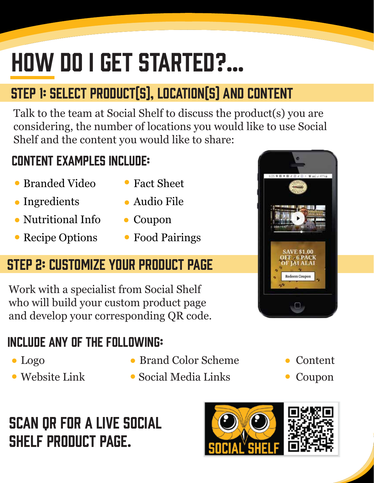## How do I get started?…

#### Step 1: Select Product(s), Location(s) and Content

Talk to the team at Social Shelf to discuss the product(s) you are considering, the number of locations you would like to use Social Shelf and the content you would like to share:

#### Content examples include:

- Branded Video
- Ingredients
- Nutritional Info
- Recipe Options
- Fact Sheet
- Audio File
- Coupon
- Food Pairings

#### Step 2: Customize Your Product Page

Work with a specialist from Social Shelf who will build your custom product page and develop your corresponding QR code.

#### Include any of the following:

- 
- 
- Logo Brand Color Scheme Content
- Website Link Social Media Links Coupon
- Scan QR for a live Social Shelf product page.





- -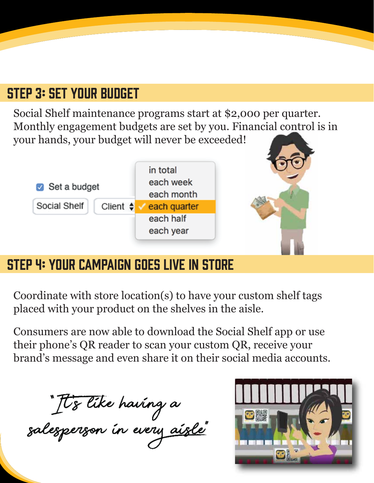#### Step 3: Set Your Budget

Social Shelf maintenance programs start at \$2,000 per quarter. Monthly engagement budgets are set by you. Financial control is in your hands, your budget will never be exceeded!



#### Step 4: Your Campaign Goes Live In Store

Coordinate with store location(s) to have your custom shelf tags placed with your product on the shelves in the aisle.

Consumers are now able to download the Social Shelf app or use their phone's QR reader to scan your custom QR, receive your brand's message and even share it on their social media accounts.

It's like having a<br>salesperson in every <u>aisle</u>"

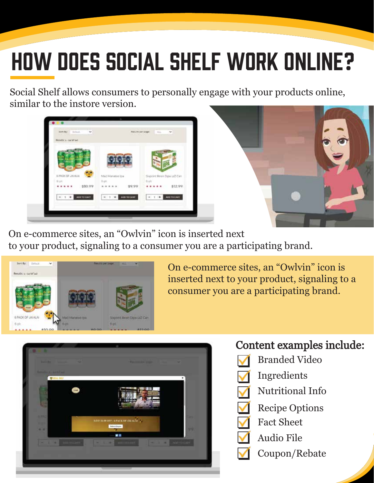## How Does Social Shelf Work Online?

Social Shelf allows consumers to personally engage with your products online, similar to the instore version.





On e-commerce sites, an "Owlvin" icon is inserted next to your product, signaling to a consumer you are a participating brand.



On e-commerce sites, an "Owlvin" icon is inserted next to your product, signaling to a consumer you are a participating brand.



#### Content examples include:

- Branded Video
- Ingredients
- Nutritional Info
- Recipe Options
- Fact Sheet
- Audio File
	- Coupon/Rebate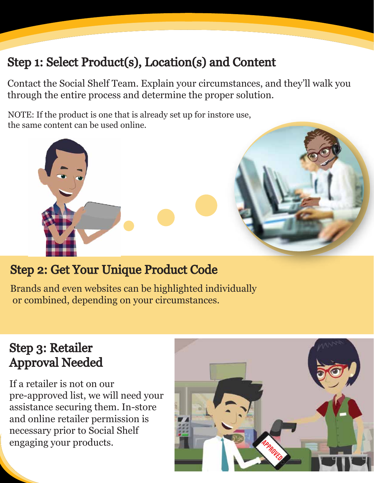#### Step 1: Select Product(s), Location(s) and Content

Contact the Social Shelf Team. Explain your circumstances, and they'll walk you through the entire process and determine the proper solution.

NOTE: If the product is one that is already set up for instore use, the same content can be used online.



#### Step 2: Get Your Unique Product Code

Brands and even websites can be highlighted individually or combined, depending on your circumstances.

#### Step 3: Retailer Approval Needed

If a retailer is not on our pre-approved list, we will need your assistance securing them. In-store and online retailer permission is necessary prior to Social Shelf engaging your products.

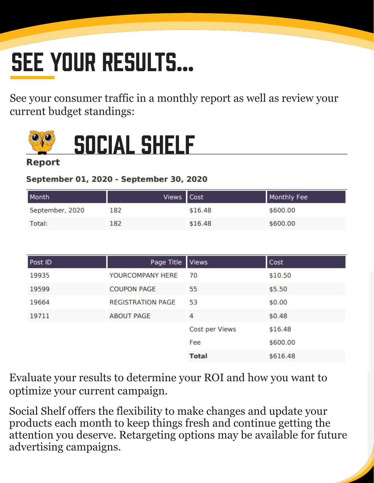## SEE YOUR RESULTS...

See your consumer traffic in a monthly report as well as review your current budget standings:



## social Shelf

#### September 01, 2020 - September 30, 2020

| Month           | Views Cost |         | <b>Monthly Fee</b> |
|-----------------|------------|---------|--------------------|
| September, 2020 | 182        | \$16.48 | \$600.00           |
| Total:          | 182        | \$16.48 | \$600.00           |

| Post ID | Page Title               | <b>Views</b>   | Cost     |
|---------|--------------------------|----------------|----------|
| 19935   | YOURCOMPANY HERE         | 70             | \$10.50  |
| 19599   | <b>COUPON PAGE</b>       | 55             | \$5.50   |
| 19664   | <b>REGISTRATION PAGE</b> | 53             | \$0.00   |
| 19711   | <b>ABOUT PAGE</b>        | 4              | \$0.48   |
|         |                          | Cost per Views | \$16.48  |
|         |                          | Fee            | \$600.00 |
|         |                          | <b>Total</b>   | \$616.48 |

Evaluate your results to determine your ROI and how you want to optimize your current campaign.

Social Shelf offers the flexibility to make changes and update your products each month to keep things fresh and continue getting the attention you deserve. Retargeting options may be available for future advertising campaigns.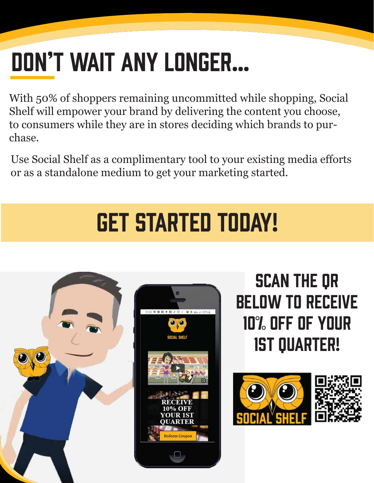## Don't wait any longer…

With 50% of shoppers remaining uncommitted while shopping, Social Shelf will empower your brand by delivering the content you choose, to consumers while they are in stores deciding which brands to purchase.

Use Social Shelf as a complimentary tool to your existing media efforts or as a standalone medium to get your marketing started.

## Get started today!





Scan the QR below to receive 10% off of your 1st quarter!